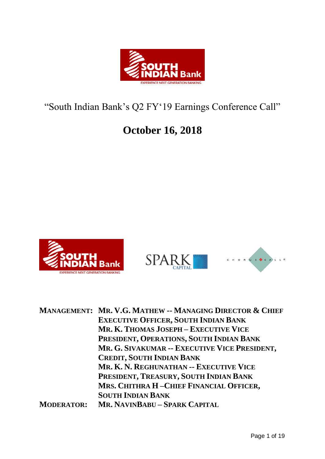

# "South Indian Bank's Q2 FY'19 Earnings Conference Call"

## **October 16, 2018**





|                   | <b>MANAGEMENT: MR. V.G. MATHEW -- MANAGING DIRECTOR &amp; CHIEF</b> |
|-------------------|---------------------------------------------------------------------|
|                   | <b>EXECUTIVE OFFICER, SOUTH INDIAN BANK</b>                         |
|                   | MR. K. THOMAS JOSEPH - EXECUTIVE VICE                               |
|                   | PRESIDENT, OPERATIONS, SOUTH INDIAN BANK                            |
|                   | MR. G. SIVAKUMAR -- EXECUTIVE VICE PRESIDENT,                       |
|                   | <b>CREDIT, SOUTH INDIAN BANK</b>                                    |
|                   | MR. K. N. REGHUNATHAN -- EXECUTIVE VICE                             |
|                   | PRESIDENT, TREASURY, SOUTH INDIAN BANK                              |
|                   | MRS. CHITHRA H-CHIEF FINANCIAL OFFICER,                             |
|                   | <b>SOUTH INDIAN BANK</b>                                            |
| <b>MODERATOR:</b> | MR. NAVINBABU - SPARK CAPITAL                                       |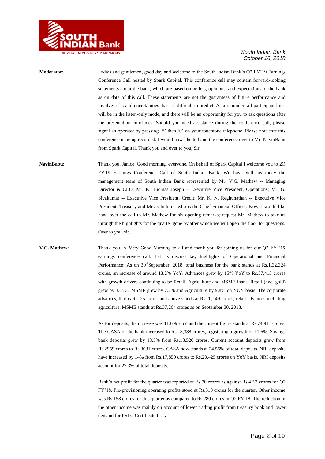

**Moderator:** Ladies and gentlemen, good day and welcome to the South Indian Bank"s Q2 FY"19 Earnings Conference Call hosted by Spark Capital. This conference call may contain forward-looking statements about the bank, which are based on beliefs, opinions, and expectations of the bank as on date of this call. These statements are not the guarantees of future performance and involve risks and uncertainties that are difficult to predict. As a reminder, all participant lines will be in the listen-only mode, and there will be an opportunity for you to ask questions after the presentation concludes. Should you need assistance during the conference call, please signal an operator by pressing '\*' then '0' on your touchtone telephone. Please note that this conference is being recorded. I would now like to hand the conference over to Mr. NavinBabu from Spark Capital. Thank you and over to you, Sir.

**NavinBabu**: Thank you, Janice. Good morning, everyone. On behalf of Spark Capital I welcome you to 2Q FY'19 Earnings Conference Call of South Indian Bank. We have with us today the management team of South Indian Bank represented by Mr. V.G. Mathew -- Managing Director & CEO; Mr. K. Thomas Joseph – Executive Vice President, Operations; Mr. G. Sivakumar -- Executive Vice President, Credit; Mr. K. N. Reghunathan -- Executive Vice President, Treasury and Mrs. Chithra – who is the Chief Financial Officer. Now, I would like hand over the call to Mr. Mathew for his opening remarks; request Mr. Mathew to take us through the highlights for the quarter gone by after which we will open the floor for questions. Over to you, sir.

**V.G. Mathew**: Thank you. A Very Good Morning to all and thank you for joining us for our Q2 FY "19 earnings conference call. Let us discuss key highlights of Operational and Financial Performance: As on 30<sup>th</sup>September, 2018, total business for the bank stands at Rs.1,32,324 crores, an increase of around 13.2% YoY. Advances grew by 15% YoY to Rs.57,413 crores with growth drivers continuing to be Retail, Agriculture and MSME loans. Retail (excl gold) grew by 33.5%, MSME grew by 7.2% and Agriculture by 9.8% on YOY basis. The corporate advances, that is Rs. 25 crores and above stands at Rs.20,149 crores, retail advances including agriculture, MSME stands at Rs.37,264 crores as on September 30, 2018.

> As for deposits, the increase was 11.6% YoY and the current figure stands at Rs.74,911 crores. The CASA of the bank increased to Rs.18,388 crores, registering a growth of 11.6%. Savings bank deposits grew by 13.5% from Rs.13,526 crores. Current account deposits grew from Rs.2959 crores to Rs.3031 crores. CASA now stands at 24.55% of total deposits. NRI deposits have increased by 14% from Rs.17,850 crores to Rs.20,425 crores on YoY basis. NRI deposits account for 27.3% of total deposits.

> Bank"s net profit for the quarter was reported at Rs.70 crores as against Rs.4.32 crores for Q2 FY"18. Pre-provisioning operating profits stood at Rs.310 crores for the quarter. Other income was Rs.158 crores for this quarter as compared to Rs.280 crores in Q2 FY 18. The reduction in the other income was mainly on account of lower trading profit from treasury book and lower demand for PSLC Certificate fees**.**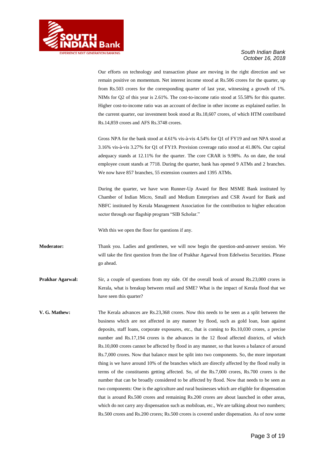

Our efforts on technology and transaction phase are moving in the right direction and we remain positive on momentum. Net interest income stood at Rs.506 crores for the quarter, up from Rs.503 crores for the corresponding quarter of last year, witnessing a growth of 1%. NIMs for Q2 of this year is 2.61%. The cost-to-income ratio stood at 55.58% for this quarter. Higher cost-to-income ratio was an account of decline in other income as explained earlier. In the current quarter, our investment book stood at Rs.18,607 crores, of which HTM contributed Rs.14,859 crores and AFS Rs.3748 crores.

Gross NPA for the bank stood at 4.61% vis-à-vis 4.54% for Q1 of FY19 and net NPA stood at 3.16% vis-à-vis 3.27% for Q1 of FY19. Provision coverage ratio stood at 41.86%. Our capital adequacy stands at 12.11% for the quarter. The core CRAR is 9.98%. As on date, the total employee count stands at 7718. During the quarter, bank has opened 9 ATMs and 2 branches. We now have 857 branches, 55 extension counters and 1395 ATMs.

During the quarter, we have won Runner-Up Award for Best MSME Bank instituted by Chamber of Indian Micro, Small and Medium Enterprises and CSR Award for Bank and NBFC instituted by Kerala Management Association for the contribution to higher education sector through our flagship program "SIB Scholar."

With this we open the floor for questions if any.

**Moderator:** Thank you. Ladies and gentlemen, we will now begin the question-and-answer session. We will take the first question from the line of Prakhar Agarwal from Edelweiss Securities. Please go ahead.

**Prakhar Agarwal:** Sir, a couple of questions from my side. Of the overall book of around Rs.23,000 crores in Kerala, what is breakup between retail and SME? What is the impact of Kerala flood that we have seen this quarter?

**V. G. Mathew:** The Kerala advances are Rs.23,368 crores. Now this needs to be seen as a split between the business which are not affected in any manner by flood, such as gold loan, loan against deposits, staff loans, corporate exposures, etc., that is coming to Rs.10,030 crores, a precise number and Rs.17,194 crores is the advances in the 12 flood affected districts, of which Rs.10,000 crores cannot be affected by flood in any manner, so that leaves a balance of around Rs.7,000 crores. Now that balance must be split into two components. So, the more important thing is we have around 10% of the branches which are directly affected by the flood really in terms of the constituents getting affected. So, of the Rs.7,000 crores, Rs.700 crores is the number that can be broadly considered to be affected by flood. Now that needs to be seen as two components: One is the agriculture and rural businesses which are eligible for dispensation that is around Rs.500 crores and remaining Rs.200 crores are about launched in other areas, which do not carry any dispensation such as mobiloan, etc., We are talking about two numbers; Rs.500 crores and Rs.200 crores; Rs.500 crores is covered under dispensation. As of now some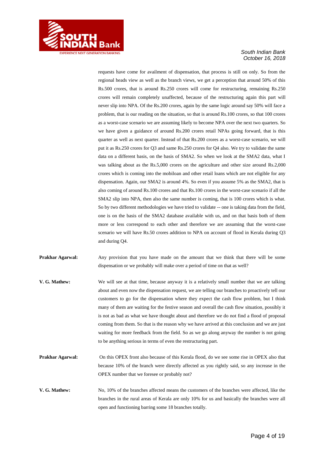

requests have come for availment of dispensation, that process is still on only. So from the regional heads view as well as the branch views, we get a perception that around 50% of this Rs.500 crores, that is around Rs.250 crores will come for restructuring, remaining Rs.250 crores will remain completely unaffected, because of the restructuring again this part will never slip into NPA. Of the Rs.200 crores, again by the same logic around say 50% will face a problem, that is our reading on the situation, so that is around Rs.100 crores, so that 100 crores as a worst-case scenario we are assuming likely to become NPA over the next two quarters. So we have given a guidance of around Rs.200 crores retail NPAs going forward, that is this quarter as well as next quarter. Instead of that Rs.200 crores as a worst-case scenario, we will put it as Rs.250 crores for Q3 and same Rs.250 crores for Q4 also. We try to validate the same data on a different basis, on the basis of SMA2. So when we look at the SMA2 data, what I was talking about as the Rs.5,000 crores on the agriculture and other size around Rs.2,000 crores which is coming into the mobiloan and other retail loans which are not eligible for any dispensation. Again, our SMA2 is around 4%. So even if you assume 5% as the SMA2, that is also coming of around Rs.100 crores and that Rs.100 crores in the worst-case scenario if all the SMA2 slip into NPA, then also the same number is coming, that is 100 crores which is what. So by two different methodologies we have tried to validate -- one is taking data from the field, one is on the basis of the SMA2 database available with us, and on that basis both of them more or less correspond to each other and therefore we are assuming that the worst-case scenario we will have Rs.50 crores addition to NPA on account of flood in Kerala during Q3 and during Q4.

**Prakhar Agarwal:** Any provision that you have made on the amount that we think that there will be some dispensation or we probably will make over a period of time on that as well?

- **V. G. Mathew:** We will see at that time, because anyway it is a relatively small number that we are talking about and even now the dispensation request, we are telling our branches to proactively tell our customers to go for the dispensation where they expect the cash flow problem, but I think many of them are waiting for the festive season and overall the cash flow situation, possibly it is not as bad as what we have thought about and therefore we do not find a flood of proposal coming from them. So that is the reason why we have arrived at this conclusion and we are just waiting for more feedback from the field. So as we go along anyway the number is not going to be anything serious in terms of even the restructuring part.
- **Prakhar Agarwal:** On this OPEX front also because of this Kerala flood, do we see some rise in OPEX also that because 10% of the branch were directly affected as you rightly said, so any increase in the OPEX number that we foresee or probably not?
- **V. G. Mathew:** No, 10% of the branches affected means the customers of the branches were affected, like the branches in the rural areas of Kerala are only 10% for us and basically the branches were all open and functioning barring some 18 branches totally.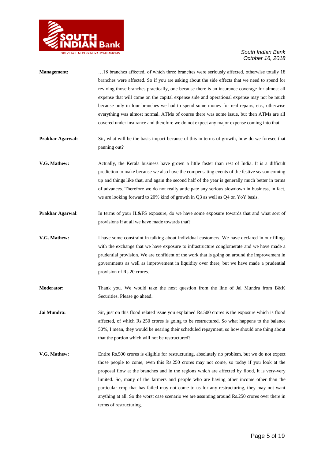

| <b>Management:</b> | 18 branches affected, of which three branches were seriously affected, otherwise totally 18<br>branches were affected. So if you are asking about the side effects that we need to spend for<br>reviving those branches practically, one because there is an insurance coverage for almost all<br>expense that will come on the capital expense side and operational expense may not be much<br>because only in four branches we had to spend some money for real repairs, etc., otherwise<br>everything was almost normal. ATMs of course there was some issue, but then ATMs are all<br>covered under insurance and therefore we do not expect any major expense coming into that. |
|--------------------|--------------------------------------------------------------------------------------------------------------------------------------------------------------------------------------------------------------------------------------------------------------------------------------------------------------------------------------------------------------------------------------------------------------------------------------------------------------------------------------------------------------------------------------------------------------------------------------------------------------------------------------------------------------------------------------|
| Prakhar Agarwal:   | Sir, what will be the basis impact because of this in terms of growth, how do we foresee that<br>panning out?                                                                                                                                                                                                                                                                                                                                                                                                                                                                                                                                                                        |
| V.G. Mathew:       | Actually, the Kerala business have grown a little faster than rest of India. It is a difficult<br>prediction to make because we also have the compensating events of the festive season coming<br>up and things like that, and again the second half of the year is generally much better in terms<br>of advances. Therefore we do not really anticipate any serious slowdown in business, in fact,<br>we are looking forward to 20% kind of growth in Q3 as well as Q4 on YoY basis.                                                                                                                                                                                                |
| Prakhar Agarwal:   | In terms of your IL&FS exposure, do we have some exposure towards that and what sort of<br>provisions if at all we have made towards that?                                                                                                                                                                                                                                                                                                                                                                                                                                                                                                                                           |
| V.G. Mathew:       | I have some constraint in talking about individual customers. We have declared in our filings<br>with the exchange that we have exposure to infrastructure conglomerate and we have made a<br>prudential provision. We are confident of the work that is going on around the improvement in<br>governments as well as improvement in liquidity over there, but we have made a prudential<br>provision of Rs.20 crores.                                                                                                                                                                                                                                                               |
| Moderator:         | Thank you. We would take the next question from the line of Jai Mundra from B&K<br>Securities. Please go ahead.                                                                                                                                                                                                                                                                                                                                                                                                                                                                                                                                                                      |
| Jai Mundra:        | Sir, just on this flood related issue you explained Rs.500 crores is the exposure which is flood<br>affected, of which Rs.250 crores is going to be restructured. So what happens to the balance<br>50%, I mean, they would be nearing their scheduled repayment, so how should one thing about<br>that the portion which will not be restructured?                                                                                                                                                                                                                                                                                                                                  |
| V.G. Mathew:       | Entire Rs.500 crores is eligible for restructuring, absolutely no problem, but we do not expect<br>those people to come, even this Rs.250 crores may not come, so today if you look at the<br>proposal flow at the branches and in the regions which are affected by flood, it is very-very<br>limited. So, many of the farmers and people who are having other income other than the<br>particular crop that has failed may not come to us for any restructuring, they may not want<br>anything at all. So the worst case scenario we are assuming around Rs.250 crores over there in<br>terms of restructuring.                                                                    |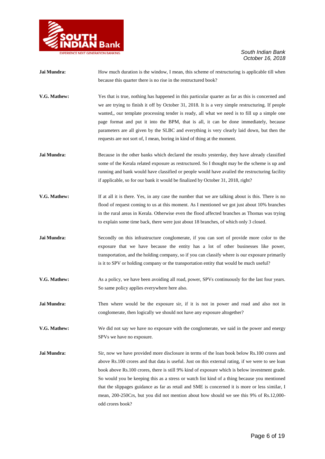

- **Jai Mundra:** How much duration is the window, I mean, this scheme of restructuring is applicable till when because this quarter there is no rise in the restructured book?
- **V.G. Mathew:** Yes that is true, nothing has happened in this particular quarter as far as this is concerned and we are trying to finish it off by October 31, 2018. It is a very simple restructuring. If people wanted,, our template processing tender is ready, all what we need is to fill up a simple one page format and put it into the BPM, that is all, it can be done immediately, because parameters are all given by the SLBC and everything is very clearly laid down, but then the requests are not sort of, I mean, boring in kind of thing at the moment.
- **Jai Mundra:** Because in the other banks which declared the results yesterday, they have already classified some of the Kerala related exposure as restructured. So I thought may be the scheme is up and running and bank would have classified or people would have availed the restructuring facility if applicable, so for our bank it would be finalized by October 31, 2018, right?
- **V.G. Mathew:** If at all it is there. Yes, in any case the number that we are talking about is this. There is no flood of request coming to us at this moment. As I mentioned we got just about 10% branches in the rural areas in Kerala. Otherwise even the flood affected branches as Thomas was trying to explain some time back, there were just about 18 branches, of which only 3 closed.
- **Jai Mundra:** Secondly on this infrastructure conglomerate, if you can sort of provide more color to the exposure that we have because the entity has a lot of other businesses like power, transportation, and the holding company, so if you can classify where is our exposure primarily is it to SPV or holding company or the transportation entity that would be much useful?
- **V.G. Mathew:** As a policy, we have been avoiding all road, power, SPVs continuously for the last four years. So same policy applies everywhere here also.
- **Jai Mundra:** Then where would be the exposure sir, if it is not in power and road and also not in conglomerate, then logically we should not have any exposure altogether?
- **V.G. Mathew:** We did not say we have no exposure with the conglomerate, we said in the power and energy SPVs we have no exposure.
- **Jai Mundra:** Sir, now we have provided more disclosure in terms of the loan book below Rs.100 crores and above Rs.100 crores and that data is useful. Just on this external rating, if we were to see loan book above Rs.100 crores, there is still 9% kind of exposure which is below investment grade. So would you be keeping this as a stress or watch list kind of a thing because you mentioned that the slippages guidance as far as retail and SME is concerned it is more or less similar, I mean, 200-250Crs, but you did not mention about how should we see this 9% of Rs.12,000 odd crores book?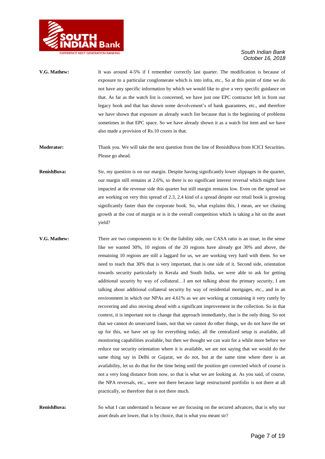

- **V.G. Mathew:** It was around 4-5% if I remember correctly last quarter. The modification is because of exposure to a particular conglomerate which is into infra, etc., So at this point of time we do not have any specific information by which we would like to give a very specific guidance on that. As far as the watch list is concerned, we have just one EPC contractor left in from our legacy book and that has shown some devolvement's of bank guarantees, etc., and therefore we have shown that exposure as already watch list because that is the beginning of problems sometimes in that EPC space. So we have already shown it as a watch list item and we have also made a provision of Rs.10 crores in that.
- **Moderator:** Thank you. We will take the next question from the line of RenishBuva from ICICI Securities. Please go ahead.
- **RenishBuva:** Sir, my question is on our margin. Despite having significantly lower slippages in the quarter, our margin still remains at 2.6%, so there is no significant interest reversal which might have impacted at the revenue side this quarter but still margin remains low. Even on the spread we are working on very thin spread of 2.3, 2.4 kind of a spread despite our retail book is growing significantly faster than the corporate book. So, what explains this, I mean, are we chasing growth at the cost of margin or is it the overall competition which is taking a hit on the asset yield?
- **V.G. Mathew:** There are two components to it: On the liability side, our CASA ratio is an issue, in the sense like we wanted 30%, 10 regions of the 20 regions have already got 30% and above, the remaining 10 regions are still a laggard for us, we are working very hard with them. So we need to reach that 30% that is very important, that is one side of it. Second side, orientation towards security particularly in Kerala and South India, we were able to ask for getting additional security by way of collateral…I am not talking about the primary security, I am talking about additional collateral security by way of residential mortgages, etc., and in an environment in which our NPAs are 4.61% as we are working at containing it very cutely by recovering and also moving ahead with a significant improvement in the collection. So in that context, it is important not to change that approach immediately, that is the only thing. So not that we cannot do unsecured loans, not that we cannot do other things, we do not have the set up for this, we have set up for everything today, all the centralized setup is available, all monitoring capabilities available, but then we thought we can wait for a while more before we reduce our security orientation where it is available, we are not saying that we would do the same thing say in Delhi or Gujarat, we do not, but at the same time where there is an availability, let us do that for the time being until the position get corrected which of course is not a very long distance from now, so that is what we are looking at. As you said, of course, the NPA reversals, etc., were not there because large restructured portfolio is not there at all practically, so therefore that is not there much.

**RenishBuva:** So what I can understand is because we are focusing on the secured advances, that is why our asset deals are lower, that is by choice, that is what you meant sir?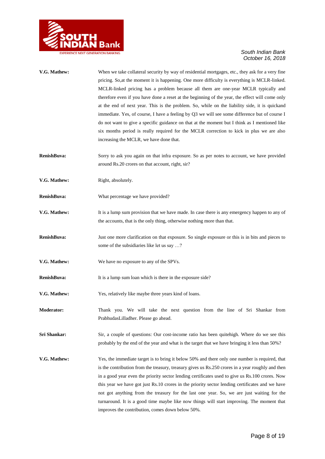

| V.G. Mathew:      | When we take collateral security by way of residential mortgages, etc., they ask for a very fine<br>pricing. So, at the moment it is happening. One more difficulty is everything is MCLR-linked.<br>MCLR-linked pricing has a problem because all them are one-year MCLR typically and |
|-------------------|-----------------------------------------------------------------------------------------------------------------------------------------------------------------------------------------------------------------------------------------------------------------------------------------|
|                   | therefore even if you have done a reset at the beginning of the year, the effect will come only                                                                                                                                                                                         |
|                   | at the end of next year. This is the problem. So, while on the liability side, it is quickand                                                                                                                                                                                           |
|                   | immediate. Yes, of course, I have a feeling by Q3 we will see some difference but of course I                                                                                                                                                                                           |
|                   | do not want to give a specific guidance on that at the moment but I think as I mentioned like                                                                                                                                                                                           |
|                   |                                                                                                                                                                                                                                                                                         |
|                   | six months period is really required for the MCLR correction to kick in plus we are also                                                                                                                                                                                                |
|                   | increasing the MCLR, we have done that.                                                                                                                                                                                                                                                 |
| RenishBuva:       | Sorry to ask you again on that infra exposure. So as per notes to account, we have provided                                                                                                                                                                                             |
|                   | around Rs.20 crores on that account, right, sir?                                                                                                                                                                                                                                        |
| V.G. Mathew:      | Right, absolutely.                                                                                                                                                                                                                                                                      |
| RenishBuva:       | What percentage we have provided?                                                                                                                                                                                                                                                       |
| V.G. Mathew:      | It is a lump sum provision that we have made. In case there is any emergency happen to any of                                                                                                                                                                                           |
|                   | the accounts, that is the only thing, otherwise nothing more than that.                                                                                                                                                                                                                 |
| RenishBuva:       | Just one more clarification on that exposure. So single exposure or this is in bits and pieces to                                                                                                                                                                                       |
|                   | some of the subsidiaries like let us say ?                                                                                                                                                                                                                                              |
| V.G. Mathew:      | We have no exposure to any of the SPVs.                                                                                                                                                                                                                                                 |
| RenishBuva:       | It is a lump sum loan which is there in the exposure side?                                                                                                                                                                                                                              |
| V.G. Mathew:      | Yes, relatively like maybe three years kind of loans.                                                                                                                                                                                                                                   |
| <b>Moderator:</b> | Thank you. We will take the next question from the line of Sri Shankar from                                                                                                                                                                                                             |
|                   | PrabhudasLilladher. Please go ahead.                                                                                                                                                                                                                                                    |
| Sri Shankar:      | Sir, a couple of questions: Our cost-income ratio has been quite high. Where do we see this                                                                                                                                                                                             |
|                   | probably by the end of the year and what is the target that we have bringing it less than 50%?                                                                                                                                                                                          |
| V.G. Mathew:      | Yes, the immediate target is to bring it below 50% and there only one number is required, that                                                                                                                                                                                          |
|                   | is the contribution from the treasury, treasury gives us Rs.250 crores in a year roughly and then                                                                                                                                                                                       |
|                   | in a good year even the priority sector lending certificates used to give us Rs.100 crores. Now                                                                                                                                                                                         |
|                   | this year we have got just Rs.10 crores in the priority sector lending certificates and we have                                                                                                                                                                                         |
|                   | not got anything from the treasury for the last one year. So, we are just waiting for the                                                                                                                                                                                               |
|                   | turnaround. It is a good time maybe like now things will start improving. The moment that                                                                                                                                                                                               |
|                   | improves the contribution, comes down below 50%.                                                                                                                                                                                                                                        |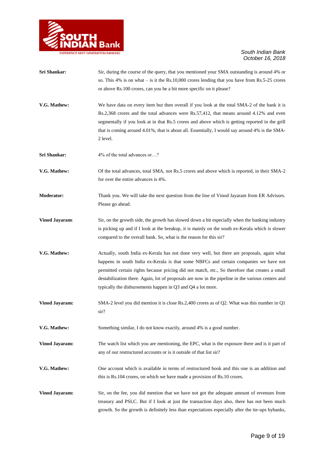

| Sri Shankar:          | Sir, during the course of the query, that you mentioned your SMA outstanding is around 4% or<br>so. This 4% is on what $-$ is it the Rs.10,000 crores lending that you have from Rs.5-25 crores<br>or above Rs.100 crores, can you be a bit more specific on it please?                                                                                                                                                                                     |
|-----------------------|-------------------------------------------------------------------------------------------------------------------------------------------------------------------------------------------------------------------------------------------------------------------------------------------------------------------------------------------------------------------------------------------------------------------------------------------------------------|
| V.G. Mathew:          | We have data on every item but then overall if you look at the total SMA-2 of the bank it is<br>Rs.2,368 crores and the total advances were Rs.57,412, that means around 4.12% and even<br>segmentally if you look at in that Rs.5 crores and above which is getting reported in the grill<br>that is coming around 4.01%, that is about all. Essentially, I would say around 4% is the SMA-<br>2 level.                                                    |
| Sri Shankar:          | 4% of the total advances or?                                                                                                                                                                                                                                                                                                                                                                                                                                |
| V.G. Mathew:          | Of the total advances, total SMA, not Rs.5 crores and above which is reported, in their SMA-2<br>for over the entire advances is 4%.                                                                                                                                                                                                                                                                                                                        |
| <b>Moderator:</b>     | Thank you. We will take the next question from the line of Vinod Jayaram from ER Advisors.<br>Please go ahead.                                                                                                                                                                                                                                                                                                                                              |
| <b>Vinod Jayaram:</b> | Sir, on the growth side, the growth has slowed down a bit especially when the banking industry<br>is picking up and if I look at the breakup, it is mainly on the south ex-Kerala which is slower<br>compared to the overall bank. So, what is the reason for this sir?                                                                                                                                                                                     |
| V.G. Mathew:          | Actually, south India ex-Kerala has not done very well, but there are proposals, again what<br>happens in south India ex-Kerala is that some NBFCs and certain companies we have not<br>permitted certain rights because pricing did not match, etc., So therefore that creates a small<br>destabilization there. Again, lot of proposals are now in the pipeline in the various centers and<br>typically the disbursements happen in Q3 and Q4 a lot more. |
| <b>Vinod Jayaram:</b> | SMA-2 level you did mention it is close Rs.2,400 crores as of Q2. What was this number in Q1<br>sir?                                                                                                                                                                                                                                                                                                                                                        |
| V.G. Mathew:          | Something similar, I do not know exactly, around 4% is a good number.                                                                                                                                                                                                                                                                                                                                                                                       |
| <b>Vinod Jayaram:</b> | The watch list which you are mentioning, the EPC, what is the exposure there and is it part of<br>any of our restructured accounts or is it outside of that list sir?                                                                                                                                                                                                                                                                                       |
| V.G. Mathew:          | One account which is available in terms of restructured book and this one is an addition and<br>this is Rs.104 crores, on which we have made a provision of Rs.10 crores.                                                                                                                                                                                                                                                                                   |
| <b>Vinod Jayaram:</b> | Sir, on the fee, you did mention that we have not got the adequate amount of revenues from<br>treasury and PSLC. But if I look at just the transaction days also, there has not been much<br>growth. So the growth is definitely less than expectations especially after the tie-ups bybanks,                                                                                                                                                               |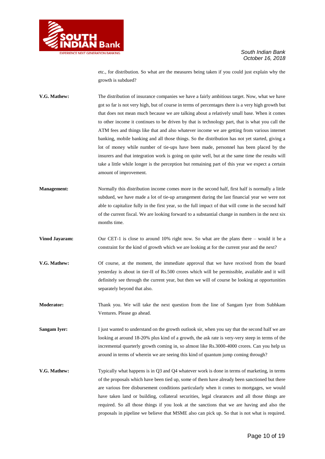

etc., for distribution. So what are the measures being taken if you could just explain why the growth is subdued?

**V.G. Mathew:** The distribution of insurance companies we have a fairly ambitious target. Now, what we have got so far is not very high, but of course in terms of percentages there is a very high growth but that does not mean much because we are talking about a relatively small base. When it comes to other income it continues to be driven by that is technology part, that is what you call the ATM fees and things like that and also whatever income we are getting from various internet banking, mobile banking and all those things. So the distribution has not yet started, giving a lot of money while number of tie-ups have been made, personnel has been placed by the insurers and that integration work is going on quite well, but at the same time the results will take a little while longer is the perception but remaining part of this year we expect a certain amount of improvement.

- **Management:** Normally this distribution income comes more in the second half, first half is normally a little subdued, we have made a lot of tie-up arrangement during the last financial year we were not able to capitalize fully in the first year, so the full impact of that will come in the second half of the current fiscal. We are looking forward to a substantial change in numbers in the next six months time.
- **Vinod Jayaram:** Our CET-1 is close to around 10% right now. So what are the plans there would it be a constraint for the kind of growth which we are looking at for the current year and the next?
- **V.G. Mathew:** Of course, at the moment, the immediate approval that we have received from the board yesterday is about in tier-II of Rs.500 crores which will be permissible, available and it will definitely see through the current year, but then we will of course be looking at opportunities separately beyond that also.
- **Moderator:** Thank you. We will take the next question from the line of Sangam Iyer from Subhkam Ventures. Please go ahead.

**Sangam Iyer:** I just wanted to understand on the growth outlook sir, when you say that the second half we are looking at around 18-20% plus kind of a growth, the ask rate is very-very steep in terms of the incremental quarterly growth coming in, so almost like Rs.3000-4000 crores. Can you help us around in terms of wherein we are seeing this kind of quantum jump coming through?

**V.G. Mathew:** Typically what happens is in Q3 and Q4 whatever work is done in terms of marketing, in terms of the proposals which have been tied up, some of them have already been sanctioned but there are various free disbursement conditions particularly when it comes to mortgages, we would have taken land or building, collateral securities, legal clearances and all those things are required. So all those things if you look at the sanctions that we are having and also the proposals in pipeline we believe that MSME also can pick up. So that is not what is required.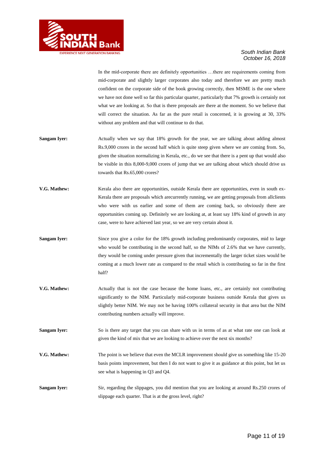

In the mid-corporate there are definitely opportunities …there are requirements coming from mid-corporate and slightly larger corporates also today and therefore we are pretty much confident on the corporate side of the book growing correctly, then MSME is the one where we have not done well so far this particular quarter, particularly that 7% growth is certainly not what we are looking at. So that is there proposals are there at the moment. So we believe that will correct the situation. As far as the pure retail is concerned, it is growing at 30, 33% without any problem and that will continue to do that.

- **Sangam Iyer:** Actually when we say that 18% growth for the year, we are talking about adding almost Rs.9,000 crores in the second half which is quite steep given where we are coming from. So, given the situation normalizing in Kerala, etc., do we see that there is a pent up that would also be visible in this 8,000-9,000 crores of jump that we are talking about which should drive us towards that Rs.65,000 crores?
- **V.G. Mathew:** Kerala also there are opportunities, outside Kerala there are opportunities, even in south ex-Kerala there are proposals which arecurrently running, we are getting proposals from allclients who were with us earlier and some of them are coming back, so obviously there are opportunities coming up. Definitely we are looking at, at least say 18% kind of growth in any case, were to have achieved last year, so we are very certain about it.
- **Sangam Iyer:** Since you give a color for the 18% growth including predominantly corporates, mid to large who would be contributing in the second half, so the NIMs of 2.6% that we have currently, they would be coming under pressure given that incrementally the larger ticket sizes would be coming at a much lower rate as compared to the retail which is contributing so far in the first half?
- **V.G. Mathew:** Actually that is not the case because the home loans, etc., are certainly not contributing significantly to the NIM. Particularly mid-corporate business outside Kerala that gives us slightly better NIM. We may not be having 100% collateral security in that area but the NIM contributing numbers actually will improve.
- **Sangam Iyer:** So is there any target that you can share with us in terms of as at what rate one can look at given the kind of mix that we are looking to achieve over the next six months?
- **V.G. Mathew:** The point is we believe that even the MCLR improvement should give us something like 15-20 basis points improvement, but then I do not want to give it as guidance at this point, but let us see what is happening in Q3 and Q4.
- **Sangam Iyer:** Sir, regarding the slippages, you did mention that you are looking at around Rs.250 crores of slippage each quarter. That is at the gross level, right?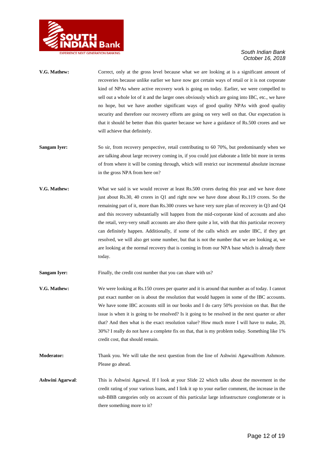

- V.G. Mathew: Correct, only at the gross level because what we are looking at is a significant amount of recoveries because unlike earlier we have now got certain ways of retail or it is not corporate kind of NPAs where active recovery work is going on today. Earlier, we were compelled to sell out a whole lot of it and the larger ones obviously which are going into IBC, etc., we have no hope, but we have another significant ways of good quality NPAs with good quality security and therefore our recovery efforts are going on very well on that. Our expectation is that it should be better than this quarter because we have a guidance of Rs.500 crores and we will achieve that definitely.
- **Sangam Iver:** So sir, from recovery perspective, retail contributing to 60 70%, but predominantly when we are talking about large recovery coming in, if you could just elaborate a little bit more in terms of from where it will be coming through, which will restrict our incremental absolute increase in the gross NPA from here on?
- **V.G. Mathew:** What we said is we would recover at least Rs.500 crores during this year and we have done just about Rs.30, 40 crores in Q1 and right now we have done about Rs.119 crores. So the remaining part of it, more than Rs.300 crores we have very sure plan of recovery in Q3 and Q4 and this recovery substantially will happen from the mid-corporate kind of accounts and also the retail, very-very small accounts are also there quite a lot, with that this particular recovery can definitely happen. Additionally, if some of the calls which are under IBC, if they get resolved, we will also get some number, but that is not the number that we are looking at, we are looking at the normal recovery that is coming in from our NPA base which is already there today.
- **Sangam Iyer:** Finally, the credit cost number that you can share with us?
- **V.G. Mathew:** We were looking at Rs.150 crores per quarter and it is around that number as of today. I cannot put exact number on is about the resolution that would happen in some of the IBC accounts. We have some IBC accounts still in our books and I do carry 50% provision on that. But the issue is when it is going to be resolved? Is it going to be resolved in the next quarter or after that? And then what is the exact resolution value? How much more I will have to make, 20, 30%? I really do not have a complete fix on that, that is my problem today. Something like 1% credit cost, that should remain.
- **Moderator:** Thank you. We will take the next question from the line of Ashwini Agarwalfrom Ashmore. Please go ahead.
- **Ashwini Agarwal**: This is Ashwini Agarwal. If I look at your Slide 22 which talks about the movement in the credit rating of your various loans, and I link it up to your earlier comment, the increase in the sub-BBB categories only on account of this particular large infrastructure conglomerate or is there something more to it?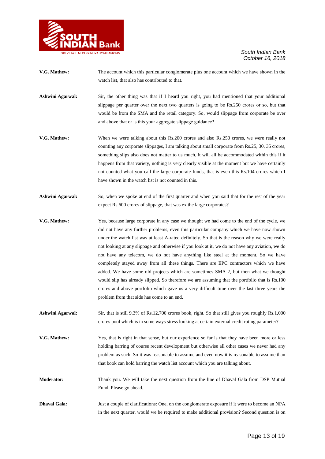

- **V.G. Mathew:** The account which this particular conglomerate plus one account which we have shown in the watch list, that also has contributed to that.
- **Ashwini Agarwal:** Sir, the other thing was that if I heard you right, you had mentioned that your additional slippage per quarter over the next two quarters is going to be Rs.250 crores or so, but that would be from the SMA and the retail category. So, would slippage from corporate be over and above that or is this your aggregate slippage guidance?
- **V.G. Mathew:** When we were talking about this Rs.200 crores and also Rs.250 crores, we were really not counting any corporate slippages, I am talking about small corporate from Rs.25, 30, 35 crores, something slips also does not matter to us much, it will all be accommodated within this if it happens from that variety, nothing is very clearly visible at the moment but we have certainly not counted what you call the large corporate funds, that is even this Rs.104 crores which I have shown in the watch list is not counted in this.
- **Ashwini Agarwal:** So, when we spoke at end of the first quarter and when you said that for the rest of the year expect Rs.600 crores of slippage, that was ex the large corporates?
- **V.G. Mathew:** Yes, because large corporate in any case we thought we had come to the end of the cycle, we did not have any further problems, even this particular company which we have now shown under the watch list was at least A-rated definitely. So that is the reason why we were really not looking at any slippage and otherwise if you look at it, we do not have any aviation, we do not have any telecom, we do not have anything like steel at the moment. So we have completely stayed away from all these things. There are EPC contractors which we have added. We have some old projects which are sometimes SMA-2, but then what we thought would slip has already slipped. So therefore we are assuming that the portfolio that is Rs.100 crores and above portfolio which gave us a very difficult time over the last three years the problem from that side has come to an end.
- Ashwini Agarwal: Sir, that is still 9.3% of Rs.12,700 crores book, right. So that still gives you roughly Rs.1,000 crores pool which is in some ways stress looking at certain external credit rating parameter?
- **V.G. Mathew:** Yes, that is right in that sense, but our experience so far is that they have been more or less holding barring of course recent development but otherwise all other cases we never had any problem as such. So it was reasonable to assume and even now it is reasonable to assume than that book can hold barring the watch list account which you are talking about.
- **Moderator:** Thank you. We will take the next question from the line of Dhaval Gala from DSP Mutual Fund. Please go ahead.
- **Dhaval Gala:** Just a couple of clarifications: One, on the conglomerate exposure if it were to become an NPA in the next quarter, would we be required to make additional provision? Second question is on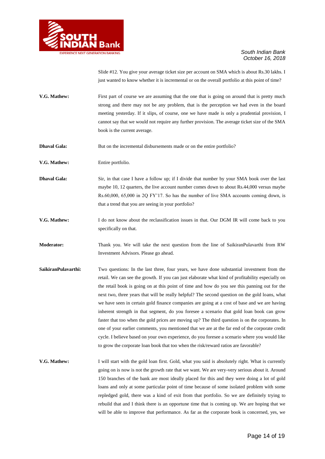

Slide #12. You give your average ticket size per account on SMA which is about Rs.30 lakhs. I just wanted to know whether it is incremental or on the overall portfolio at this point of time?

- **V.G. Mathew:** First part of course we are assuming that the one that is going on around that is pretty much strong and there may not be any problem, that is the perception we had even in the board meeting yesterday. If it slips, of course, one we have made is only a prudential provision, I cannot say that we would not require any further provision. The average ticket size of the SMA book is the current average.
- **Dhaval Gala:** But on the incremental disbursements made or on the entire portfolio?
- **V.G. Mathew:** Entire portfolio.
- **Dhaval Gala:** Sir, in that case I have a follow up; if I divide that number by your SMA book over the last maybe 10, 12 quarters, the live account number comes down to about Rs.44,000 versus maybe Rs.60,000, 65,000 in 2Q FY"17. So has the number of live SMA accounts coming down, is that a trend that you are seeing in your portfolio?
- **V.G. Mathew:** I do not know about the reclassification issues in that. Our DGM IR will come back to you specifically on that.
- **Moderator:** Thank you. We will take the next question from the line of SaikiranPulavarthi from RW Investment Advisors. Please go ahead.
- **SaikiranPulavarthi:** Two questions: In the last three, four years, we have done substantial investment from the retail. We can see the growth. If you can just elaborate what kind of profitability especially on the retail book is going on at this point of time and how do you see this panning out for the next two, three years that will be really helpful? The second question on the gold loans, what we have seen in certain gold finance companies are going at a cost of base and we are having inherent strength in that segment, do you foresee a scenario that gold loan book can grow faster that too when the gold prices are moving up? The third question is on the corporates. In one of your earlier comments, you mentioned that we are at the far end of the corporate credit cycle. I believe based on your own experience, do you foresee a scenario where you would like to grow the corporate loan book that too when the risk/reward ratios are favorable?
- **V.G. Mathew:** I will start with the gold loan first. Gold, what you said is absolutely right. What is currently going on is now is not the growth rate that we want. We are very-very serious about it. Around 150 branches of the bank are most ideally placed for this and they were doing a lot of gold loans and only at some particular point of time because of some isolated problem with some repledged gold, there was a kind of exit from that portfolio. So we are definitely trying to rebuild that and I think there is an opportune time that is coming up. We are hoping that we will be able to improve that performance. As far as the corporate book is concerned, yes, we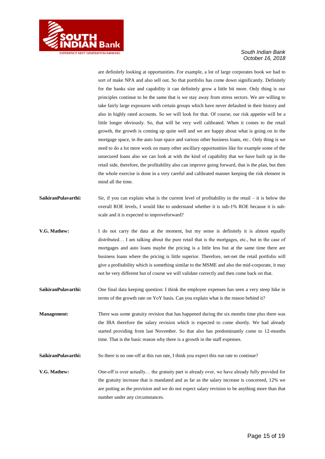

are definitely looking at opportunities. For example, a lot of large corporates book we had to sort of make NPA and also sell out. So that portfolio has come down significantly. Definitely for the banks size and capability it can definitely grow a little bit more. Only thing is our principles continue to be the same that is we stay away from stress sectors. We are willing to take fairly large exposures with certain groups which have never defaulted in their history and also in highly rated accounts. So we will look for that. Of course, our risk appetite will be a little longer obviously. So, that will be very well calibrated. When it comes to the retail growth, the growth is coming up quite well and we are happy about what is going on in the mortgage space, in the auto loan space and various other business loans, etc.. Only thing is we need to do a lot more work on many other ancillary opportunities like for example some of the unsecured loans also we can look at with the kind of capability that we have built up in the retail side, therefore, the profitability also can improve going forward, that is the plan, but then the whole exercise is done in a very careful and calibrated manner keeping the risk element in mind all the time.

- **SaikiranPulavarthi:** Sir, if you can explain what is the current level of profitability in the retail it is below the overall ROE levels, I would like to understand whether it is sub-1% ROE because it is subscale and it is expected to improveforward?
- **V.G. Mathew:** I do not carry the data at the moment, but my sense is definitely it is almost equally distributed… I am talking about the pure retail that is the mortgages, etc., but in the case of mortgages and auto loans maybe the pricing is a little less but at the same time there are business loans where the pricing is little superior. Therefore, net-net the retail portfolio will give a profitability which is something similar to the MSME and also the mid-corporate, it may not be very different but of course we will validate correctly and then come back on that.
- **SaikiranPulavarthi:** One final data keeping question: I think the employee expenses has seen a very steep hike in terms of the growth rate on YoY basis. Can you explain what is the reason behind it?
- **Management:** There was some gratuity revision that has happened during the six months time plus there was the IBA therefore the salary revision which is expected to come shortly. We had already started providing from last November. So that also has predominantly come to 12-months time. That is the basic reason why there is a growth in the staff expenses.
- SaikiranPulavarthi: So there is no one-off at this run rate, I think you expect this run rate to continue?
- **V.G. Mathew:** One-off is over actually… the gratuity part is already over, we have already fully provided for the gratuity increase that is mandated and as far as the salary increase is concerned, 12% we are putting as the provision and we do not expect salary revision to be anything more than that number under any circumstances.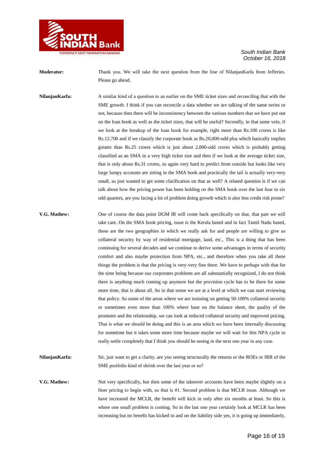

**Moderator:** Thank you. We will take the next question from the line of NilanjanKarfa from Jefferies. Please go ahead.

**NilanjanKarfa:** A similar kind of a question to an earlier on the SME ticket sizes and reconciling that with the SME growth. I think if you can reconcile a data whether we are talking of the same series or not, because then there will be inconsistency between the various numbers that we have put out on the loan book as well as the ticket sizes, that will be useful? Secondly, in that same vein, if we look at the breakup of the loan book for example, right more than Rs.100 crores is like Rs.12,700 and if we classify the corporate book as Rs.20,000-odd plus which basically implies greater than Rs.25 crores which is just about 2,000-odd crores which is probably getting classified as an SMA in a very high ticket size and then if we look at the average ticket size, that is only about Rs.31 crores, so again very hard to predict from outside but looks like very large lumpy accounts are sitting in the SMA book and practically the tail is actually very-very small, so just wanted to get some clarification on that as well? A related question is if we can talk about how the pricing power has been holding on the SMA book over the last four to six odd quarters, are you facing a lot of problem doing growth which is also less credit risk prone?

**V.G. Mathew:** One of course the data point DGM IR will come back specifically on that, that part we will take care. On the SMA book pricing, issue is the Kerala based and in fact Tamil Nadu based, these are the two geographies in which we really ask for and people are willing to give us collateral security by way of residential mortgage, land, etc., This is a thing that has been continuing for several decades and we continue to derive some advantages in terms of security comfort and also maybe protection from NPA, etc., and therefore when you take all these things the problem is that the pricing is very-very fine there. We have to perhaps with that for the time being because our corporates problems are all substantially recognized, I do not think there is anything much coming up anymore but the provision cycle has to be there for some more time, that is about all. So in that sense we are at a level at which we can start reviewing that policy. So some of the areas where we are insisting on getting 50-100% collateral security or sometimes even more than 100% where base on the balance sheet, the quality of the promoter and the relationship, we can look at reduced collateral security and improved pricing. That is what we should be doing and this is an area which we have been internally discussing for sometime but it takes some more time because maybe we will wait for this NPA cycle to really settle completely that I think you should be seeing in the next one year in any case.

**NilanjanKarfa:** Sir, just want to get a clarity, are you seeing structurally the returns or the ROEs or IRR of the SME portfolio kind of shrink over the last year or so?

**V.G. Mathew:** Not very specifically, but then some of the takeover accounts have been maybe slightly on a finer pricing to begin with, so that is #1. Second problem is that MCLR issue. Although we have increased the MCLR, the benefit will kick in only after six months at least. So this is where one small problem is coming. So in the last one year certainly look at MCLR has been increasing but no benefit has kicked in and on the liability side yes, it is going up immediately.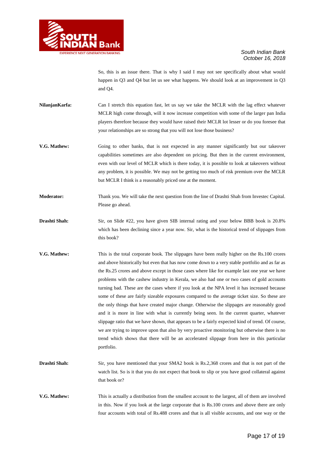

So, this is an issue there. That is why I said I may not see specifically about what would happen in Q3 and Q4 but let us see what happens. We should look at an improvement in Q3 and Q4.

**NilanjanKarfa:** Can I stretch this equation fast, let us say we take the MCLR with the lag effect whatever MCLR high come through, will it now increase competition with some of the larger pan India players therefore because they would have raised their MCLR lot lesser or do you foresee that your relationships are so strong that you will not lose those business?

- **V.G. Mathew:** Going to other banks, that is not expected in any manner significantly but our takeover capabilities sometimes are also dependent on pricing. But then in the current environment, even with our level of MCLR which is there today, it is possible to look at takeovers without any problem, it is possible. We may not be getting too much of risk premium over the MCLR but MCLR I think is a reasonably priced one at the moment.
- **Moderator:** Thank you. We will take the next question from the line of Drashti Shah from Investec Capital. Please go ahead.
- **Drashti Shah:** Sir, on Slide #22, you have given SIB internal rating and your below BBB book is 20.8% which has been declining since a year now. Sir, what is the historical trend of slippages from this book?
- **V.G. Mathew:** This is the total corporate book. The slippages have been really higher on the Rs.100 crores and above historically but even that has now come down to a very stable portfolio and as far as the Rs.25 crores and above except in those cases where like for example last one year we have problems with the cashew industry in Kerala, we also had one or two cases of gold accounts turning bad. These are the cases where if you look at the NPA level it has increased because some of these are fairly sizeable exposures compared to the average ticket size. So these are the only things that have created major change. Otherwise the slippages are reasonably good and it is more in line with what is currently being seen. In the current quarter, whatever slippage ratio that we have shown, that appears to be a fairly expected kind of trend. Of course, we are trying to improve upon that also by very proactive monitoring but otherwise there is no trend which shows that there will be an accelerated slippage from here in this particular portfolio.
- **Drashti Shah:** Sir, you have mentioned that your SMA2 book is Rs.2,368 crores and that is not part of the watch list. So is it that you do not expect that book to slip or you have good collateral against that book or?
- **V.G. Mathew:** This is actually a distribution from the smallest account to the largest, all of them are involved in this. Now if you look at the large corporate that is Rs.100 crores and above there are only four accounts with total of Rs.488 crores and that is all visible accounts, and one way or the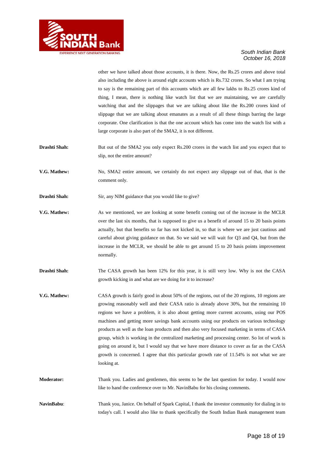

other we have talked about those accounts, it is there. Now, the Rs.25 crores and above total also including the above is around eight accounts which is Rs.732 crores. So what I am trying to say is the remaining part of this accounts which are all few lakhs to Rs.25 crores kind of thing, I mean, there is nothing like watch list that we are maintaining, we are carefully watching that and the slippages that we are talking about like the Rs.200 crores kind of slippage that we are talking about emanates as a result of all these things barring the large corporate. One clarification is that the one account which has come into the watch list with a large corporate is also part of the SMA2, it is not different.

- **Drashti Shah:** But out of the SMA2 you only expect Rs.200 crores in the watch list and you expect that to slip, not the entire amount?
- **V.G. Mathew:** No, SMA2 entire amount, we certainly do not expect any slippage out of that, that is the comment only.
- **Drashti Shah:** Sir, any NIM guidance that you would like to give?
- **V.G. Mathew:** As we mentioned, we are looking at some benefit coming out of the increase in the MCLR over the last six months, that is supposed to give us a benefit of around 15 to 20 basis points actually, but that benefits so far has not kicked in, so that is where we are just cautious and careful about giving guidance on that. So we said we will wait for Q3 and Q4, but from the increase in the MCLR, we should be able to get around 15 to 20 basis points improvement normally.
- **Drashti Shah:** The CASA growth has been 12% for this year, it is still very low. Why is not the CASA growth kicking in and what are we doing for it to increase?
- **V.G. Mathew:** CASA growth is fairly good in about 50% of the regions, out of the 20 regions, 10 regions are growing reasonably well and their CASA ratio is already above 30%, but the remaining 10 regions we have a problem, it is also about getting more current accounts, using our POS machines and getting more savings bank accounts using our products on various technology products as well as the loan products and then also very focused marketing in terms of CASA group, which is working in the centralized marketing and processing center. So lot of work is going on around it, but I would say that we have more distance to cover as far as the CASA growth is concerned. I agree that this particular growth rate of 11.54% is not what we are looking at.
- **Moderator:** Thank you. Ladies and gentlemen, this seems to be the last question for today. I would now like to hand the conference over to Mr. NavinBabu for his closing comments.
- **NavinBabu**: Thank you, Janice. On behalf of Spark Capital, I thank the investor community for dialing in to today's call. I would also like to thank specifically the South Indian Bank management team